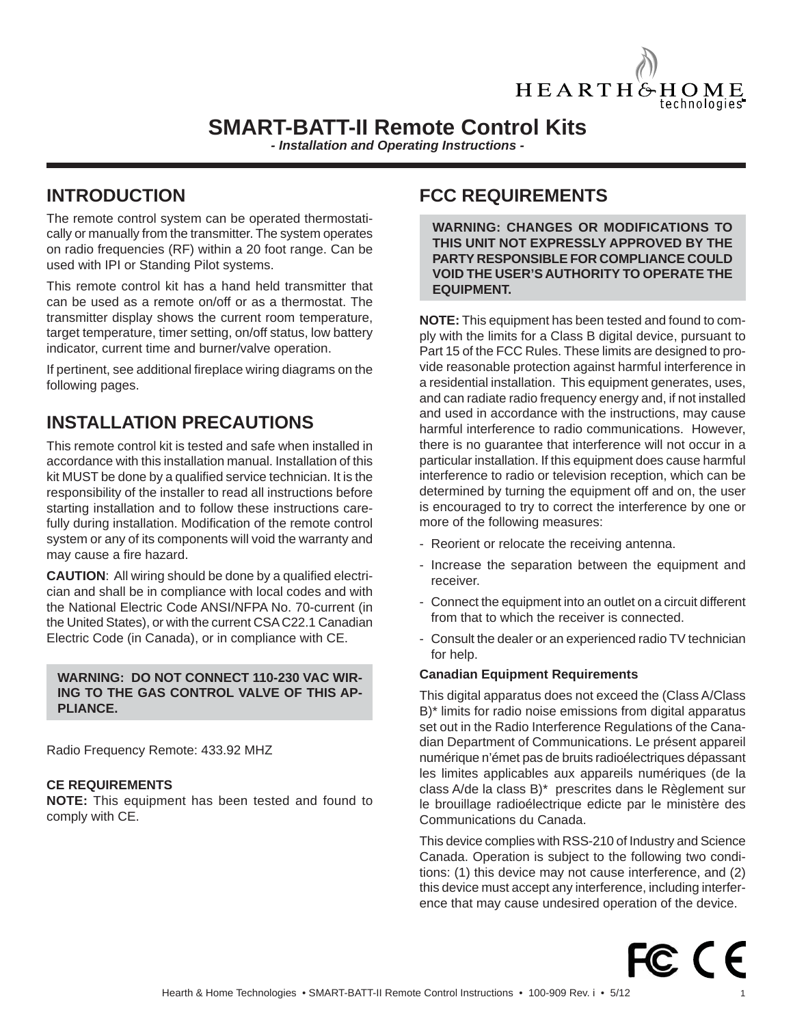

# **SMART-BATT-II Remote Control Kits**

*- Installation and Operating Instructions -*

## **INTRODUCTION**

The remote control system can be operated thermostatically or manually from the transmitter. The system operates on radio frequencies (RF) within a 20 foot range. Can be used with IPI or Standing Pilot systems.

This remote control kit has a hand held transmitter that can be used as a remote on/off or as a thermostat. The transmitter display shows the current room temperature, target temperature, timer setting, on/off status, low battery indicator, current time and burner/valve operation.

If pertinent, see additional fireplace wiring diagrams on the following pages.

# **INSTALLATION PRECAUTIONS**

This remote control kit is tested and safe when installed in accordance with this installation manual. Installation of this kit MUST be done by a qualified service technician. It is the responsibility of the installer to read all instructions before starting installation and to follow these instructions carefully during installation. Modification of the remote control system or any of its components will void the warranty and may cause a fire hazard.

**CAUTION:** All wiring should be done by a qualified electrician and shall be in compliance with local codes and with the National Electric Code ANSI/NFPA No. 70-current (in the United States), or with the current CSA C22.1 Canadian Electric Code (in Canada), or in compliance with CE.

#### **WARNING: DO NOT CONNECT 110-230 VAC WIR-ING TO THE GAS CONTROL VALVE OF THIS AP-PLIANCE.**

Radio Frequency Remote: 433.92 MHZ

### **CE REQUIREMENTS**

**NOTE:** This equipment has been tested and found to comply with CE.

## **FCC REQUIREMENTS**

**WARNING: CHANGES OR MODIFICATIONS TO THIS UNIT NOT EXPRESSLY APPROVED BY THE PARTY RESPONSIBLE FOR COMPLIANCE COULD VOID THE USER'S AUTHORITY TO OPERATE THE EQUIPMENT.**

**NOTE:** This equipment has been tested and found to comply with the limits for a Class B digital device, pursuant to Part 15 of the FCC Rules. These limits are designed to provide reasonable protection against harmful interference in a residential installation. This equipment generates, uses, and can radiate radio frequency energy and, if not installed and used in accordance with the instructions, may cause harmful interference to radio communications. However, there is no guarantee that interference will not occur in a particular installation. If this equipment does cause harmful interference to radio or television reception, which can be determined by turning the equipment off and on, the user is encouraged to try to correct the interference by one or more of the following measures:

- Reorient or relocate the receiving antenna.
- Increase the separation between the equipment and receiver.
- Connect the equipment into an outlet on a circuit different from that to which the receiver is connected.
- Consult the dealer or an experienced radio TV technician for help.

#### **Canadian Equipment Requirements**

This digital apparatus does not exceed the (Class A/Class B)\* limits for radio noise emissions from digital apparatus set out in the Radio Interference Regulations of the Canadian Department of Communications. Le présent appareil numérique n'émet pas de bruits radioélectriques dépassant les limites applicables aux appareils numériques (de la class A/de la class B)\* prescrites dans le Règlement sur le brouillage radioélectrique edicte par le ministère des Communications du Canada.

This device complies with RSS-210 of Industry and Science Canada. Operation is subject to the following two conditions: (1) this device may not cause interference, and (2) this device must accept any interference, including interference that may cause undesired operation of the device.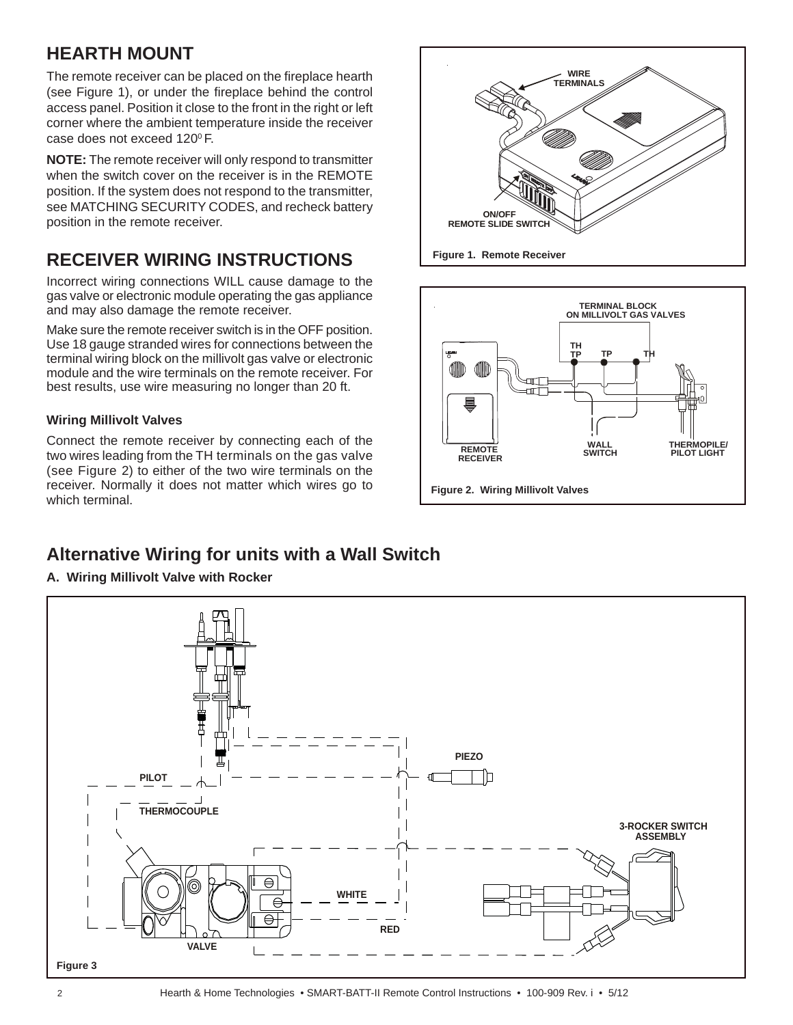# **HEARTH MOUNT**

The remote receiver can be placed on the fireplace hearth (see Figure 1), or under the fireplace behind the control access panel. Position it close to the front in the right or left corner where the ambient temperature inside the receiver case does not exceed 120°F.

**NOTE:** The remote receiver will only respond to transmitter when the switch cover on the receiver is in the REMOTE position. If the system does not respond to the transmitter, see MATCHING SECURITY CODES, and recheck battery position in the remote receiver.

# **RECEIVER WIRING INSTRUCTIONS**

Incorrect wiring connections WILL cause damage to the gas valve or electronic module operating the gas appliance and may also damage the remote receiver.

Make sure the remote receiver switch is in the OFF position. Use 18 gauge stranded wires for connections between the terminal wiring block on the millivolt gas valve or electronic module and the wire terminals on the remote receiver. For best results, use wire measuring no longer than 20 ft.

## **Wiring Millivolt Valves**

Connect the remote receiver by connecting each of the two wires leading from the TH terminals on the gas valve (see Figure 2) to either of the two wire terminals on the receiver. Normally it does not matter which wires go to which terminal.

# **Alternative Wiring for units with a Wall Switch**



**Figure 2. Wiring Millivolt Valves**

mП ⊣⊞ा

**Figure 1. Remote Receiver**

**ON/OFF REMOTE SLIDE SWITCH**

> **THERMOPILE/ PILOT LIGHT**

**TERMINAL BLOCK ON MILLIVOLT GAS VALVES**

**TP TH**

**TH TP** 

**WIRE TERMINALS**

> **WALL SWITCH**

**REMOTE RECEIVER**

(III)

### **A. Wiring Millivolt Valve with Rocker**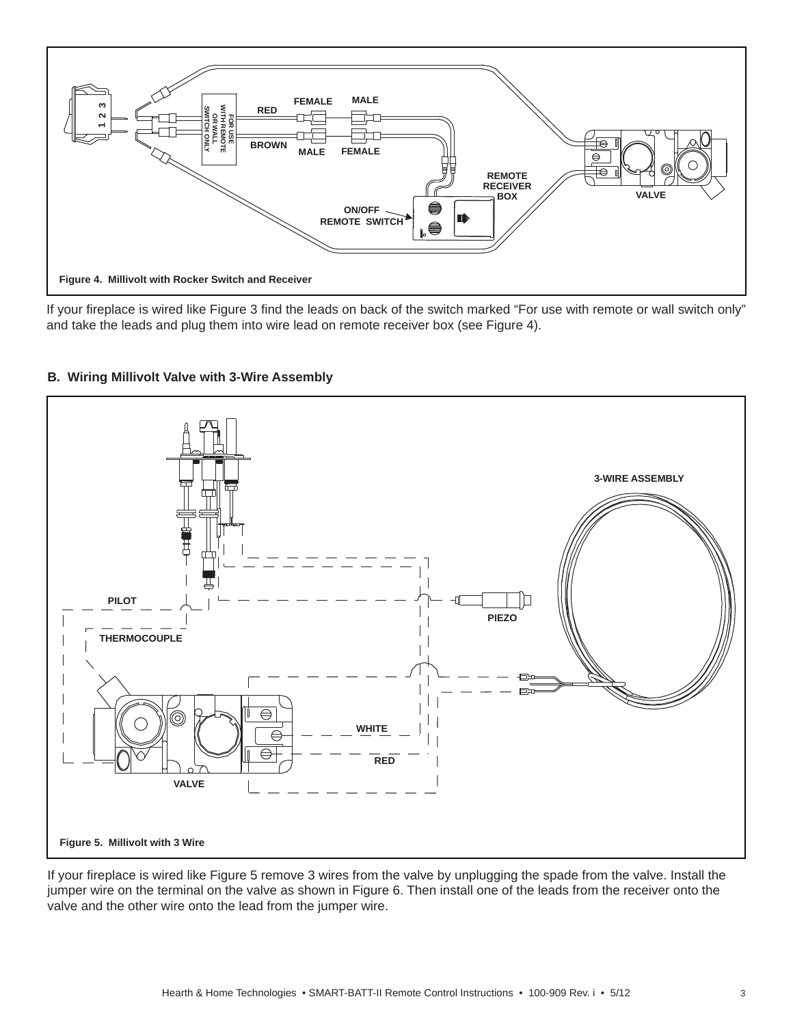

If your fireplace is wired like Figure 3 find the leads on back of the switch marked "For use with remote or wall switch only" and take the leads and plug them into wire lead on remote receiver box (see Figure 4).



## **B. Wiring Millivolt Valve with 3-Wire Assembly**

If your fireplace is wired like Figure 5 remove 3 wires from the valve by unplugging the spade from the valve. Install the jumper wire on the terminal on the valve as shown in Figure 6. Then install one of the leads from the receiver onto the valve and the other wire onto the lead from the jumper wire.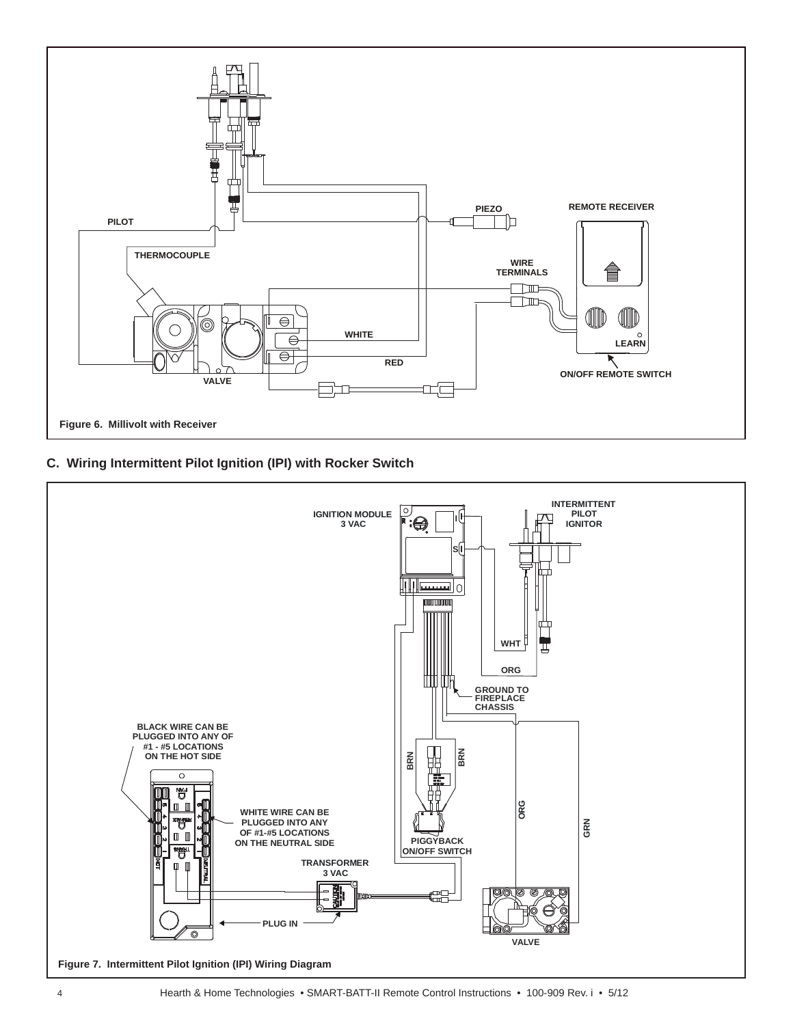

## **C. Wiring Intermittent Pilot Ignition (IPI) with Rocker Switch**

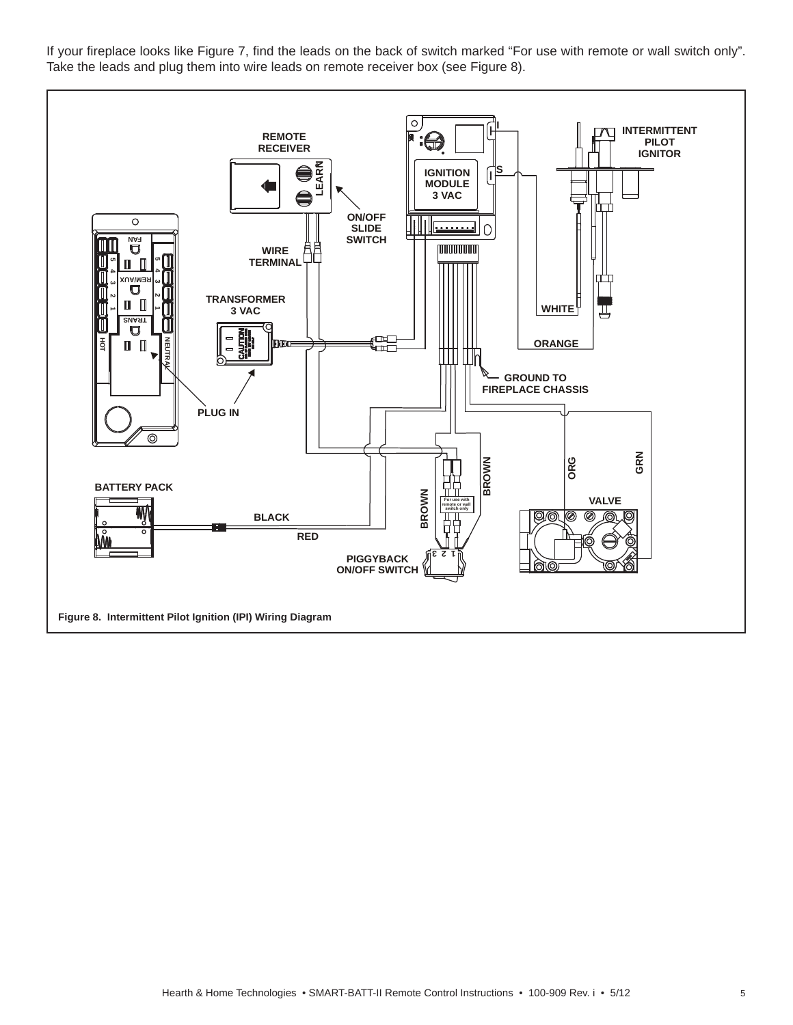If your fireplace looks like Figure 7, find the leads on the back of switch marked "For use with remote or wall switch only". Take the leads and plug them into wire leads on remote receiver box (see Figure 8).

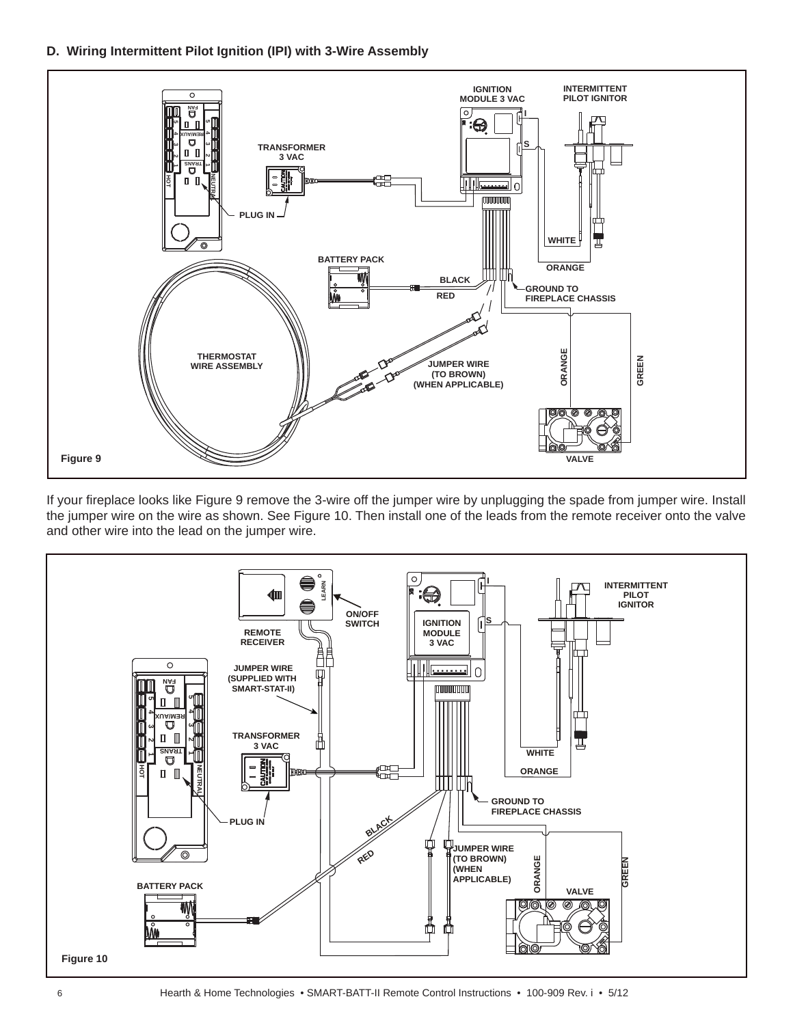**D. Wiring Intermittent Pilot Ignition (IPI) with 3-Wire Assembly**

![](_page_5_Figure_1.jpeg)

If your fireplace looks like Figure 9 remove the 3-wire off the jumper wire by unplugging the spade from jumper wire. Install the jumper wire on the wire as shown. See Figure 10. Then install one of the leads from the remote receiver onto the valve and other wire into the lead on the jumper wire.

![](_page_5_Figure_3.jpeg)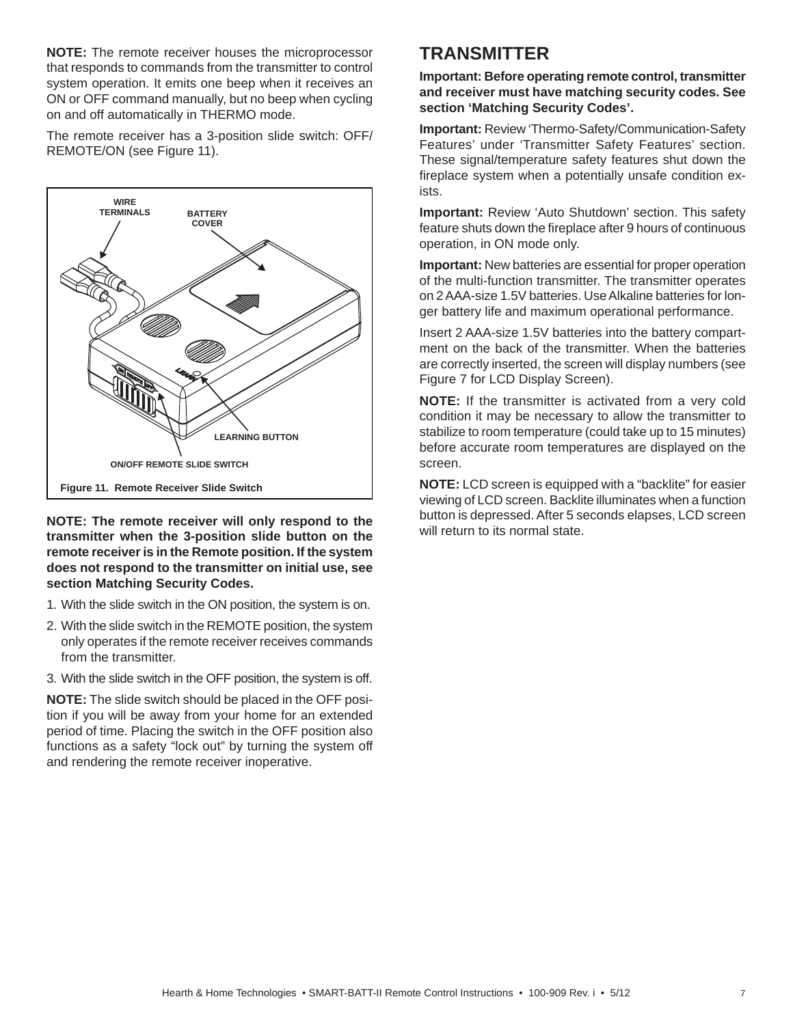**NOTE:** The remote receiver houses the microprocessor that responds to commands from the transmitter to control system operation. It emits one beep when it receives an ON or OFF command manually, but no beep when cycling on and off automatically in THERMO mode.

The remote receiver has a 3-position slide switch: OFF/ REMOTE/ON (see Figure 11).

![](_page_6_Figure_2.jpeg)

**NOTE: The remote receiver will only respond to the transmitter when the 3-position slide button on the remote receiver is in the Remote position. If the system does not respond to the transmitter on initial use, see section Matching Security Codes.**

- 1. With the slide switch in the ON position, the system is on.
- 2. With the slide switch in the REMOTE position, the system only operates if the remote receiver receives commands from the transmitter.
- 3. With the slide switch in the OFF position, the system is off.

**NOTE:** The slide switch should be placed in the OFF position if you will be away from your home for an extended period of time. Placing the switch in the OFF position also functions as a safety "lock out" by turning the system off and rendering the remote receiver inoperative.

## **TRANSMITTER**

**Important: Before operating remote control, transmitter and receiver must have matching security codes. See section 'Matching Security Codes'.**

**Important:** Review 'Thermo-Safety/Communication-Safety Features' under 'Transmitter Safety Features' section. These signal/temperature safety features shut down the fireplace system when a potentially unsafe condition exists.

**Important:** Review 'Auto Shutdown' section. This safety feature shuts down the fireplace after 9 hours of continuous operation, in ON mode only.

**Important:** New batteries are essential for proper operation of the multi-function transmitter. The transmitter operates on 2 AAA-size 1.5V batteries. Use Alkaline batteries for longer battery life and maximum operational performance.

Insert 2 AAA-size 1.5V batteries into the battery compartment on the back of the transmitter. When the batteries are correctly inserted, the screen will display numbers (see Figure 7 for LCD Display Screen).

**NOTE:** If the transmitter is activated from a very cold condition it may be necessary to allow the transmitter to stabilize to room temperature (could take up to 15 minutes) before accurate room temperatures are displayed on the screen.

**NOTE:** LCD screen is equipped with a "backlite" for easier viewing of LCD screen. Backlite illuminates when a function button is depressed. After 5 seconds elapses, LCD screen will return to its normal state.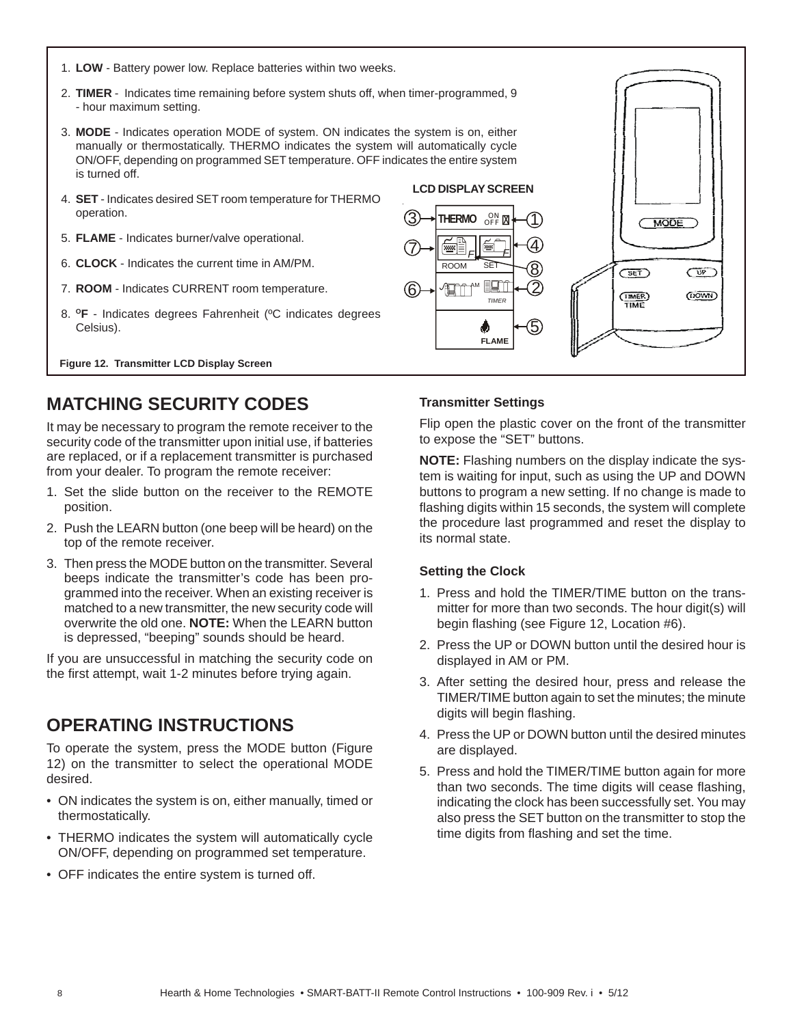- 1. **LOW** Battery power low. Replace batteries within two weeks.
- 2. **TIMER** Indicates time remaining before system shuts off, when timer-programmed, 9 - hour maximum setting.
- 3. **MODE** Indicates operation MODE of system. ON indicates the system is on, either manually or thermostatically. THERMO indicates the system will automatically cycle ON/OFF, depending on programmed SET temperature. OFF indicates the entire system is turned off.
- 4. **SET** Indicates desired SET room temperature for THERMO operation.
- 5. **FLAME** Indicates burner/valve operational.
- 6. **CLOCK** Indicates the current time in AM/PM.
- 7. **ROOM**  Indicates CURRENT room temperature.
- 8. **OF** Indicates degrees Fahrenheit (ºC indicates degrees Celsius).

**Figure 12. Transmitter LCD Display Screen** 

# **MATCHING SECURITY CODES**

It may be necessary to program the remote receiver to the security code of the transmitter upon initial use, if batteries are replaced, or if a replacement transmitter is purchased from your dealer. To program the remote receiver:

- 1. Set the slide button on the receiver to the REMOTE position.
- 2. Push the LEARN button (one beep will be heard) on the top of the remote receiver.
- 3. Then press the MODE button on the transmitter. Several beeps indicate the transmitter's code has been programmed into the receiver. When an existing receiver is matched to a new transmitter, the new security code will overwrite the old one. **NOTE:** When the LEARN button is depressed, "beeping" sounds should be heard.

If you are unsuccessful in matching the security code on the first attempt, wait 1-2 minutes before trying again.

## **OPERATING INSTRUCTIONS**

To operate the system, press the MODE button (Figure 12) on the transmitter to select the operational MODE desired.

- ON indicates the system is on, either manually, timed or thermostatically.
- THERMO indicates the system will automatically cycle ON/OFF, depending on programmed set temperature.
- OFF indicates the entire system is turned off.

Flip open the plastic cover on the front of the transmitter

MODE

 $SET$ 

**TIMER**<br>TIME

 $\overline{CP}$ 

**OOWIN** 

**NOTE:** Flashing numbers on the display indicate the system is waiting for input, such as using the UP and DOWN buttons to program a new setting. If no change is made to flashing digits within 15 seconds, the system will complete the procedure last programmed and reset the display to its normal state.

#### **Setting the Clock**

6

7

**3** THERMO ON

- 1. Press and hold the TIMER/TIME button on the transmitter for more than two seconds. The hour digit(s) will begin flashing (see Figure 12, Location #6).
- 2. Press the UP or DOWN button until the desired hour is displayed in AM or PM.
- 3. After setting the desired hour, press and release the TIMER/TIME button again to set the minutes; the minute digits will begin flashing.
- 4. Press the UP or DOWN button until the desired minutes are displayed.
- 5. Press and hold the TIMER/TIME button again for more than two seconds. The time digits will cease flashing, indicating the clock has been successfully set. You may also press the SET button on the transmitter to stop the time digits from flashing and set the time.

![](_page_7_Figure_28.jpeg)

OFF<sup>N</sup>

*TIMER*

۰

**ART MEET** ROOM SET *F F*

**LCD DISPLAY SCREEN**

5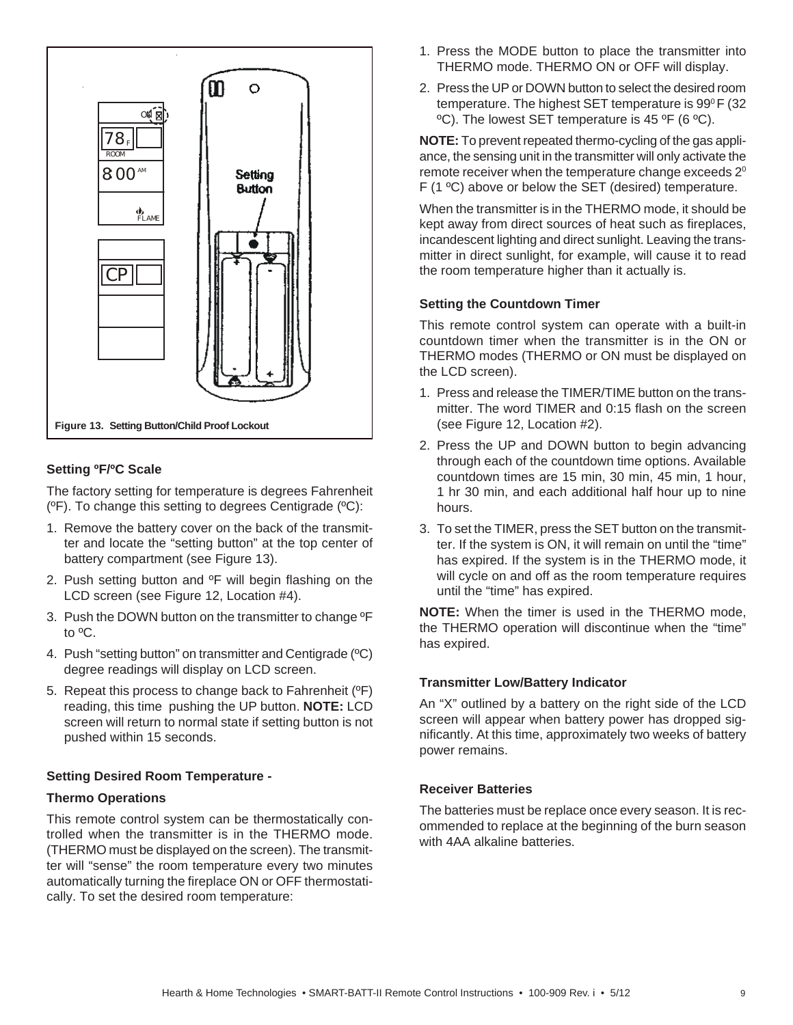![](_page_8_Figure_0.jpeg)

## **Setting ºF/ºC Scale**

The factory setting for temperature is degrees Fahrenheit (ºF). To change this setting to degrees Centigrade (ºC):

- 1. Remove the battery cover on the back of the transmitter and locate the "setting button" at the top center of battery compartment (see Figure 13).
- 2. Push setting button and  ${}^{\circ}$ F will begin flashing on the LCD screen (see Figure 12, Location #4).
- 3. Push the DOWN button on the transmitter to change ºF to ºC.
- 4. Push "setting button" on transmitter and Centigrade (ºC) degree readings will display on LCD screen.
- 5. Repeat this process to change back to Fahrenheit (ºF) reading, this time pushing the UP button. **NOTE:** LCD screen will return to normal state if setting button is not pushed within 15 seconds.

### **Setting Desired Room Temperature -**

#### **Thermo Operations**

This remote control system can be thermostatically controlled when the transmitter is in the THERMO mode. (THERMO must be displayed on the screen). The transmitter will "sense" the room temperature every two minutes automatically turning the fireplace ON or OFF thermostatically. To set the desired room temperature:

- 1. Press the MODE button to place the transmitter into THERMO mode. THERMO ON or OFF will display.
- 2. Press the UP or DOWN button to select the desired room temperature. The highest SET temperature is 99°F (32 ºC). The lowest SET temperature is 45 ºF (6 ºC).

**NOTE:** To prevent repeated thermo-cycling of the gas appliance, the sensing unit in the transmitter will only activate the remote receiver when the temperature change exceeds  $2^{\circ}$ F (1 ºC) above or below the SET (desired) temperature.

When the transmitter is in the THERMO mode, it should be kept away from direct sources of heat such as fireplaces, incandescent lighting and direct sunlight. Leaving the transmitter in direct sunlight, for example, will cause it to read the room temperature higher than it actually is.

#### **Setting the Countdown Timer**

This remote control system can operate with a built-in countdown timer when the transmitter is in the ON or THERMO modes (THERMO or ON must be displayed on the LCD screen).

- 1. Press and release the TIMER/TIME button on the transmitter. The word TIMER and 0:15 flash on the screen (see Figure 12, Location #2).
- 2. Press the UP and DOWN button to begin advancing through each of the countdown time options. Available countdown times are 15 min, 30 min, 45 min, 1 hour, 1 hr 30 min, and each additional half hour up to nine hours.
- 3. To set the TIMER, press the SET button on the transmitter. If the system is ON, it will remain on until the "time" has expired. If the system is in the THERMO mode, it will cycle on and off as the room temperature requires until the "time" has expired.

**NOTE:** When the timer is used in the THERMO mode, the THERMO operation will discontinue when the "time" has expired.

#### **Transmitter Low/Battery Indicator**

An "X" outlined by a battery on the right side of the LCD screen will appear when battery power has dropped significantly. At this time, approximately two weeks of battery power remains.

#### **Receiver Batteries**

The batteries must be replace once every season. It is recommended to replace at the beginning of the burn season with 4AA alkaline batteries.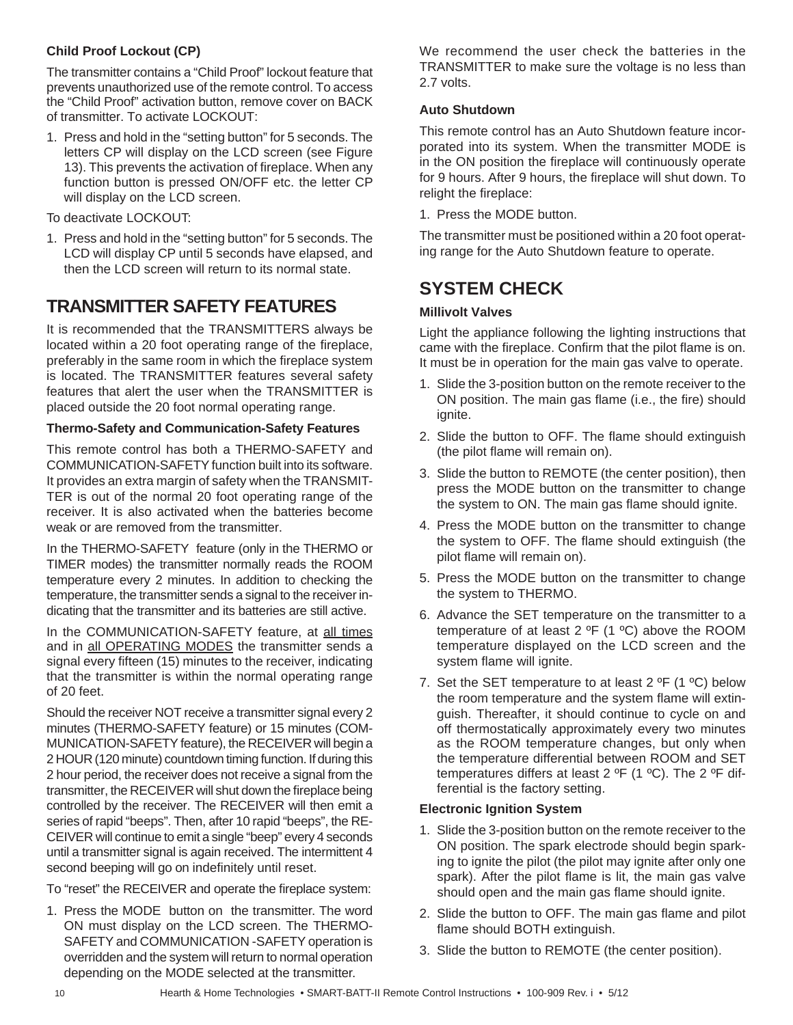## **Child Proof Lockout (CP)**

The transmitter contains a "Child Proof" lockout feature that prevents unauthorized use of the remote control. To access the "Child Proof" activation button, remove cover on BACK of transmitter. To activate LOCKOUT:

1. Press and hold in the "setting button" for 5 seconds. The letters CP will display on the LCD screen (see Figure 13). This prevents the activation of fireplace. When any function button is pressed ON/OFF etc. the letter CP will display on the LCD screen.

To deactivate LOCKOUT:

1. Press and hold in the "setting button" for 5 seconds. The LCD will display CP until 5 seconds have elapsed, and then the LCD screen will return to its normal state.

## **TRANSMITTER SAFETY FEATURES**

It is recommended that the TRANSMITTERS always be located within a 20 foot operating range of the fireplace, preferably in the same room in which the fireplace system is located. The TRANSMITTER features several safety features that alert the user when the TRANSMITTER is placed outside the 20 foot normal operating range.

### **Thermo-Safety and Communication-Safety Features**

This remote control has both a THERMO-SAFETY and COMMUNICATION-SAFETY function built into its software. It provides an extra margin of safety when the TRANSMIT-TER is out of the normal 20 foot operating range of the receiver. It is also activated when the batteries become weak or are removed from the transmitter.

In the THERMO-SAFETY feature (only in the THERMO or TIMER modes) the transmitter normally reads the ROOM temperature every 2 minutes. In addition to checking the temperature, the transmitter sends a signal to the receiver indicating that the transmitter and its batteries are still active.

In the COMMUNICATION-SAFETY feature, at all times and in all OPERATING MODES the transmitter sends a signal every fifteen (15) minutes to the receiver, indicating that the transmitter is within the normal operating range of 20 feet.

Should the receiver NOT receive a transmitter signal every 2 minutes (THERMO-SAFETY feature) or 15 minutes (COM-MUNICATION-SAFETY feature), the RECEIVER will begin a 2 HOUR (120 minute) countdown timing function. If during this 2 hour period, the receiver does not receive a signal from the transmitter, the RECEIVER will shut down the fireplace being controlled by the receiver. The RECEIVER will then emit a series of rapid "beeps". Then, after 10 rapid "beeps", the RE-CEIVER will continue to emit a single "beep" every 4 seconds until a transmitter signal is again received. The intermittent 4 second beeping will go on indefinitely until reset.

To "reset" the RECEIVER and operate the fireplace system:

1. Press the MODE button on the transmitter. The word ON must display on the LCD screen. The THERMO-SAFETY and COMMUNICATION -SAFETY operation is overridden and the system will return to normal operation depending on the MODE selected at the transmitter.

We recommend the user check the batteries in the TRANSMITTER to make sure the voltage is no less than 2.7 volts.

#### **Auto Shutdown**

This remote control has an Auto Shutdown feature incorporated into its system. When the transmitter MODE is in the ON position the fireplace will continuously operate for 9 hours. After 9 hours, the fireplace will shut down. To relight the fireplace:

1. Press the MODE button.

The transmitter must be positioned within a 20 foot operating range for the Auto Shutdown feature to operate.

## **SYSTEM CHECK**

### **Millivolt Valves**

Light the appliance following the lighting instructions that came with the fireplace. Confirm that the pilot flame is on. It must be in operation for the main gas valve to operate.

- 1. Slide the 3-position button on the remote receiver to the ON position. The main gas flame (i.e., the fire) should ignite.
- 2. Slide the button to OFF. The flame should extinguish (the pilot flame will remain on).
- 3. Slide the button to REMOTE (the center position), then press the MODE button on the transmitter to change the system to ON. The main gas flame should ignite.
- 4. Press the MODE button on the transmitter to change the system to OFF. The flame should extinguish (the pilot flame will remain on).
- 5. Press the MODE button on the transmitter to change the system to THERMO.
- 6. Advance the SET temperature on the transmitter to a temperature of at least 2 ºF (1 ºC) above the ROOM temperature displayed on the LCD screen and the system flame will ignite.
- 7. Set the SET temperature to at least  $2^{\circ}F$  (1  $^{\circ}C$ ) below the room temperature and the system flame will extinguish. Thereafter, it should continue to cycle on and off thermostatically approximately every two minutes as the ROOM temperature changes, but only when the temperature differential between ROOM and SET temperatures differs at least 2  $^{\circ}$ F (1  $^{\circ}$ C). The 2  $^{\circ}$ F differential is the factory setting.

### **Electronic Ignition System**

- 1. Slide the 3-position button on the remote receiver to the ON position. The spark electrode should begin sparking to ignite the pilot (the pilot may ignite after only one spark). After the pilot flame is lit, the main gas valve should open and the main gas flame should ignite.
- 2. Slide the button to OFF. The main gas flame and pilot flame should BOTH extinguish.
- 3. Slide the button to REMOTE (the center position).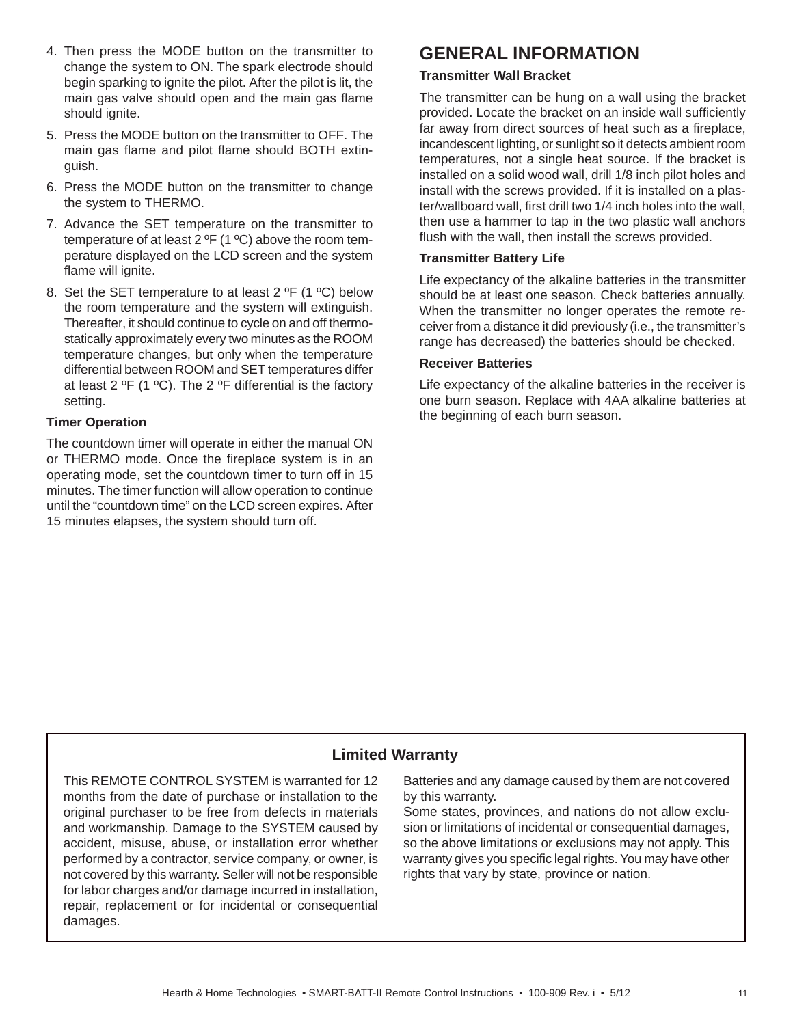- 4. Then press the MODE button on the transmitter to change the system to ON. The spark electrode should begin sparking to ignite the pilot. After the pilot is lit, the main gas valve should open and the main gas flame should ignite.
- 5. Press the MODE button on the transmitter to OFF. The main gas flame and pilot flame should BOTH extinguish.
- 6. Press the MODE button on the transmitter to change the system to THERMO.
- 7. Advance the SET temperature on the transmitter to temperature of at least 2 ºF (1 ºC) above the room temperature displayed on the LCD screen and the system flame will ignite.
- 8. Set the SET temperature to at least 2  $^{\circ}$ F (1  $^{\circ}$ C) below the room temperature and the system will extinguish. Thereafter, it should continue to cycle on and off thermostatically approximately every two minutes as the ROOM temperature changes, but only when the temperature differential between ROOM and SET temperatures differ at least 2  $\textdegree$ F (1  $\textdegree$ C). The 2  $\textdegree$ F differential is the factory setting.

## **Timer Operation**

The countdown timer will operate in either the manual ON or THERMO mode. Once the fireplace system is in an operating mode, set the countdown timer to turn off in 15 minutes. The timer function will allow operation to continue until the "countdown time" on the LCD screen expires. After 15 minutes elapses, the system should turn off.

## **GENERAL INFORMATION**

#### **Transmitter Wall Bracket**

The transmitter can be hung on a wall using the bracket provided. Locate the bracket on an inside wall sufficiently far away from direct sources of heat such as a fireplace, incandescent lighting, or sunlight so it detects ambient room temperatures, not a single heat source. If the bracket is installed on a solid wood wall, drill 1/8 inch pilot holes and install with the screws provided. If it is installed on a plaster/wallboard wall, first drill two 1/4 inch holes into the wall, then use a hammer to tap in the two plastic wall anchors flush with the wall, then install the screws provided.

#### **Transmitter Battery Life**

Life expectancy of the alkaline batteries in the transmitter should be at least one season. Check batteries annually. When the transmitter no longer operates the remote receiver from a distance it did previously (i.e., the transmitter's range has decreased) the batteries should be checked.

### **Receiver Batteries**

Life expectancy of the alkaline batteries in the receiver is one burn season. Replace with 4AA alkaline batteries at the beginning of each burn season.

## **Limited Warranty**

This REMOTE CONTROL SYSTEM is warranted for 12 months from the date of purchase or installation to the original purchaser to be free from defects in materials and workmanship. Damage to the SYSTEM caused by accident, misuse, abuse, or installation error whether performed by a contractor, service company, or owner, is not covered by this warranty. Seller will not be responsible for labor charges and/or damage incurred in installation, repair, replacement or for incidental or consequential damages.

Batteries and any damage caused by them are not covered by this warranty.

Some states, provinces, and nations do not allow exclusion or limitations of incidental or consequential damages, so the above limitations or exclusions may not apply. This warranty gives you specific legal rights. You may have other rights that vary by state, province or nation.